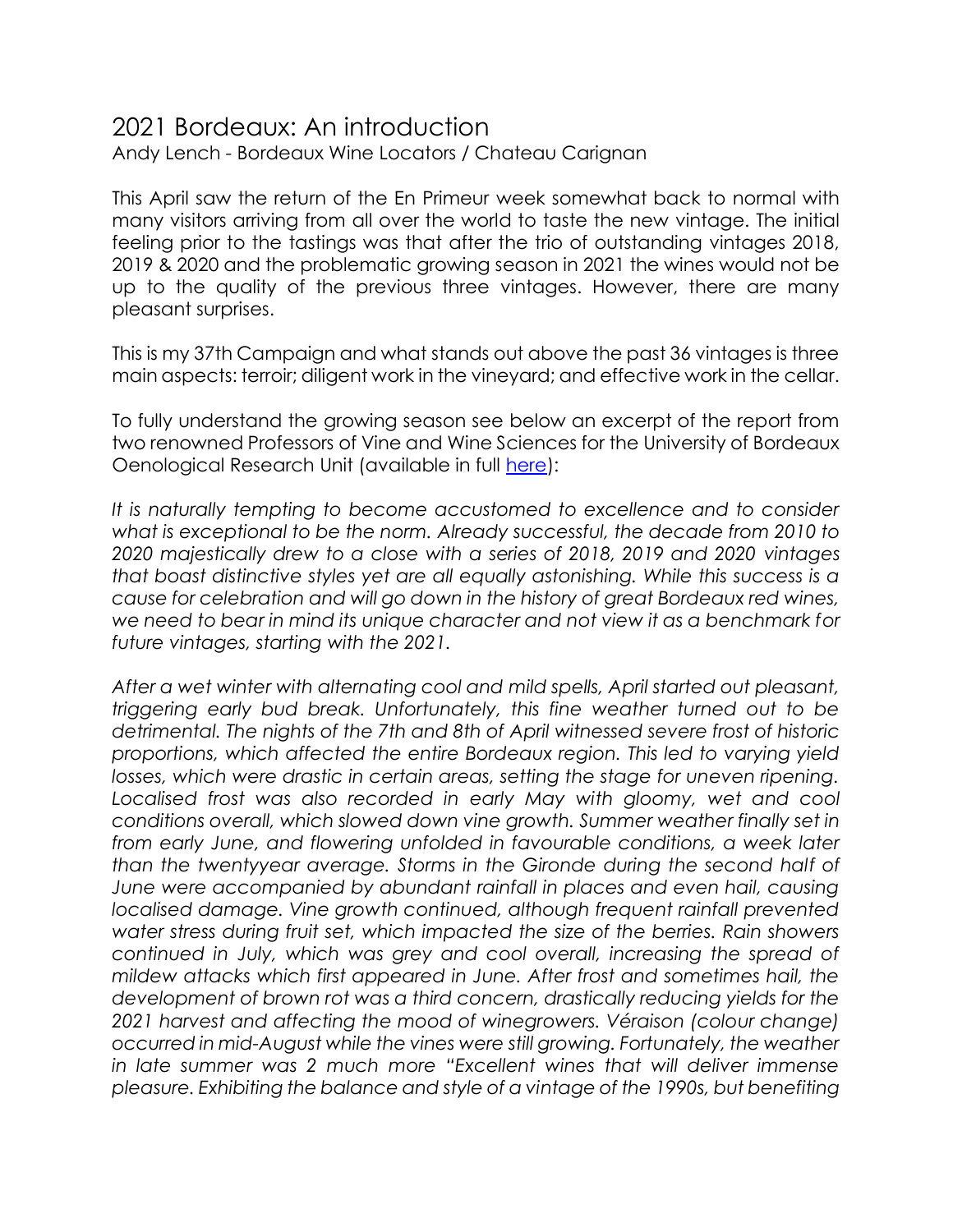## 2021 Bordeaux: An introduction

Andy Lench - Bordeaux Wine Locators / Chateau Carignan

This April saw the return of the En Primeur week somewhat back to normal with many visitors arriving from all over the world to taste the new vintage. The initial feeling prior to the tastings was that after the trio of outstanding vintages 2018, 2019 & 2020 and the problematic growing season in 2021 the wines would not be up to the quality of the previous three vintages. However, there are many pleasant surprises.

This is my 37th Campaign and what stands out above the past 36 vintages is three main aspects: terroir; diligent work in the vineyard; and effective work in the cellar.

To fully understand the growing season see below an excerpt of the report from two renowned Professors of Vine and Wine Sciences for the University of Bordeaux Oenological Research Unit (available in full [here\)](https://bordeauxraisins.fr/images/millesimes/2021/Vintage%202021%20ISVV%20VF_EN.pdf):

It is naturally tempting to become accustomed to excellence and to consider what is exceptional to be the norm. Already successful, the decade from 2010 to *2020 majestically drew to a close with a series of 2018, 2019 and 2020 vintages that boast distinctive styles yet are all equally astonishing. While this success is a cause for celebration and will go down in the history of great Bordeaux red wines, we need to bear in mind its unique character and not view it as a benchmark for future vintages, starting with the 2021.* 

*After a wet winter with alternating cool and mild spells, April started out pleasant, triggering early bud break. Unfortunately, this fine weather turned out to be detrimental. The nights of the 7th and 8th of April witnessed severe frost of historic proportions, which affected the entire Bordeaux region. This led to varying yield*  losses, which were drastic in certain areas, setting the stage for uneven ripening. Localised frost was also recorded in early May with gloomy, wet and cool *conditions overall, which slowed down vine growth. Summer weather finally set in from early June, and flowering unfolded in favourable conditions, a week later than the twentyyear average. Storms in the Gironde during the second half of June were accompanied by abundant rainfall in places and even hail, causing localised damage. Vine growth continued, although frequent rainfall prevented water stress during fruit set, which impacted the size of the berries. Rain showers continued in July, which was grey and cool overall, increasing the spread of mildew attacks which first appeared in June. After frost and sometimes hail, the development of brown rot was a third concern, drastically reducing yields for the 2021 harvest and affecting the mood of winegrowers. Véraison (colour change) occurred in mid-August while the vines were still growing. Fortunately, the weather in late summer was 2 much more "Excellent wines that will deliver immense pleasure. Exhibiting the balance and style of a vintage of the 1990s, but benefiting*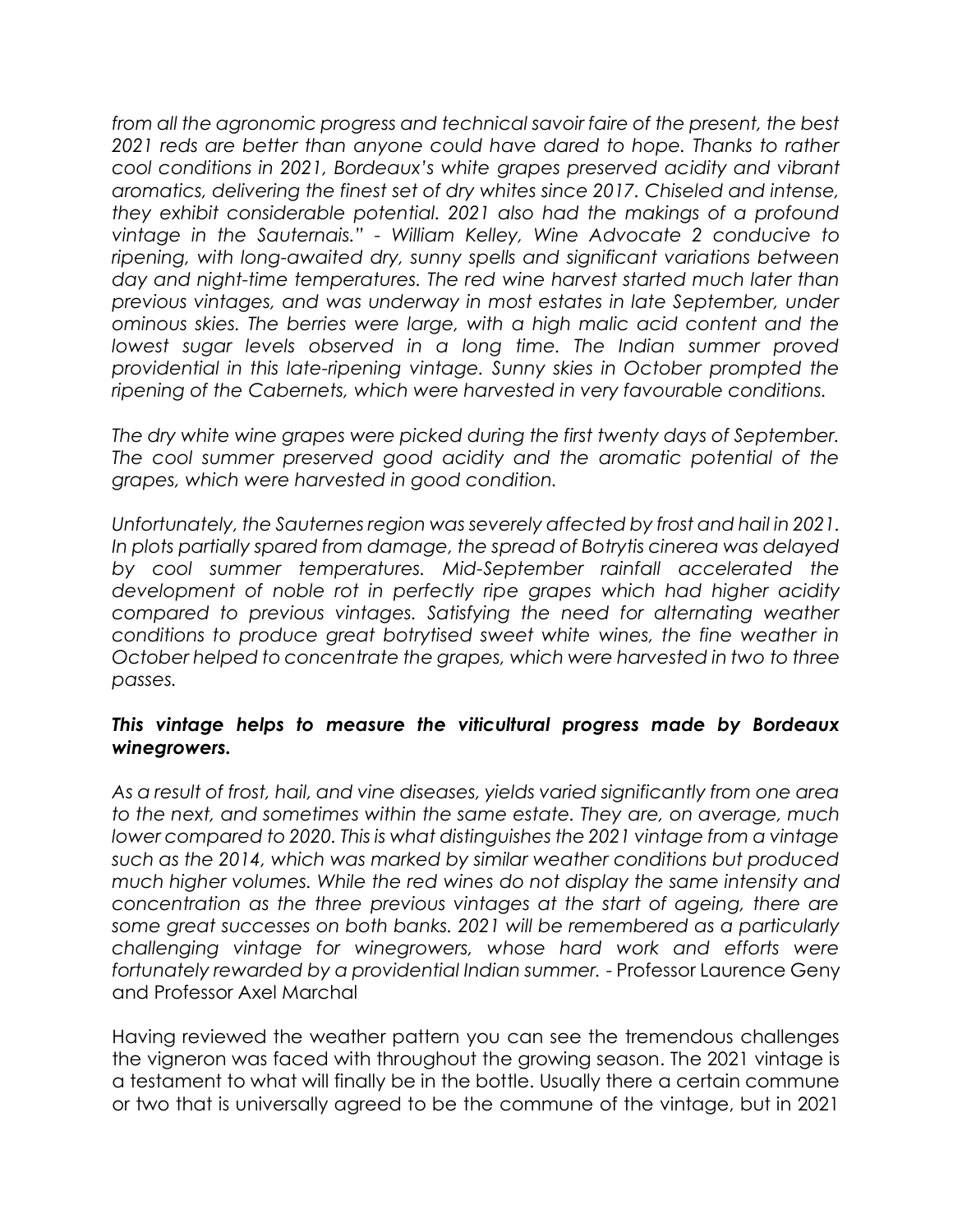*from all the agronomic progress and technical savoir faire of the present, the best*  2021 reds are better than anyone could have dared to hope. Thanks to rather *cool conditions in 2021, Bordeaux's white grapes preserved acidity and vibrant aromatics, delivering the finest set of dry whites since 2017. Chiseled and intense, they exhibit considerable potential. 2021 also had the makings of a profound vintage in the Sauternais." - William Kelley, Wine Advocate 2 conducive to*  ripening, with long-awaited dry, sunny spells and significant variations between day and night-time temperatures. The red wine harvest started much later than *previous vintages, and was underway in most estates in late September, under ominous skies. The berries were large, with a high malic acid content and the lowest sugar levels observed in a long time. The Indian summer proved providential in this late-ripening vintage. Sunny skies in October prompted the ripening of the Cabernets, which were harvested in very favourable conditions.* 

*The dry white wine grapes were picked during the first twenty days of September. The cool summer preserved good acidity and the aromatic potential of the grapes, which were harvested in good condition.* 

*Unfortunately, the Sauternes region was severely affected by frost and hail in 2021. In plots partially spared from damage, the spread of Botrytis cinerea was delayed by cool summer temperatures. Mid-September rainfall accelerated the development of noble rot in perfectly ripe grapes which had higher acidity compared to previous vintages. Satisfying the need for alternating weather conditions to produce great botrytised sweet white wines, the fine weather in October helped to concentrate the grapes, which were harvested in two to three passes.* 

#### *This vintage helps to measure the viticultural progress made by Bordeaux winegrowers.*

*As a result of frost, hail, and vine diseases, yields varied significantly from one area to the next, and sometimes within the same estate. They are, on average, much lower compared to 2020. This is what distinguishes the 2021 vintage from a vintage such as the 2014, which was marked by similar weather conditions but produced much higher volumes. While the red wines do not display the same intensity and concentration as the three previous vintages at the start of ageing, there are some great successes on both banks. 2021 will be remembered as a particularly challenging vintage for winegrowers, whose hard work and efforts were fortunately rewarded by a providential Indian summer.* - Professor Laurence Geny and Professor Axel Marchal

Having reviewed the weather pattern you can see the tremendous challenges the vigneron was faced with throughout the growing season. The 2021 vintage is a testament to what will finally be in the bottle. Usually there a certain commune or two that is universally agreed to be the commune of the vintage, but in 2021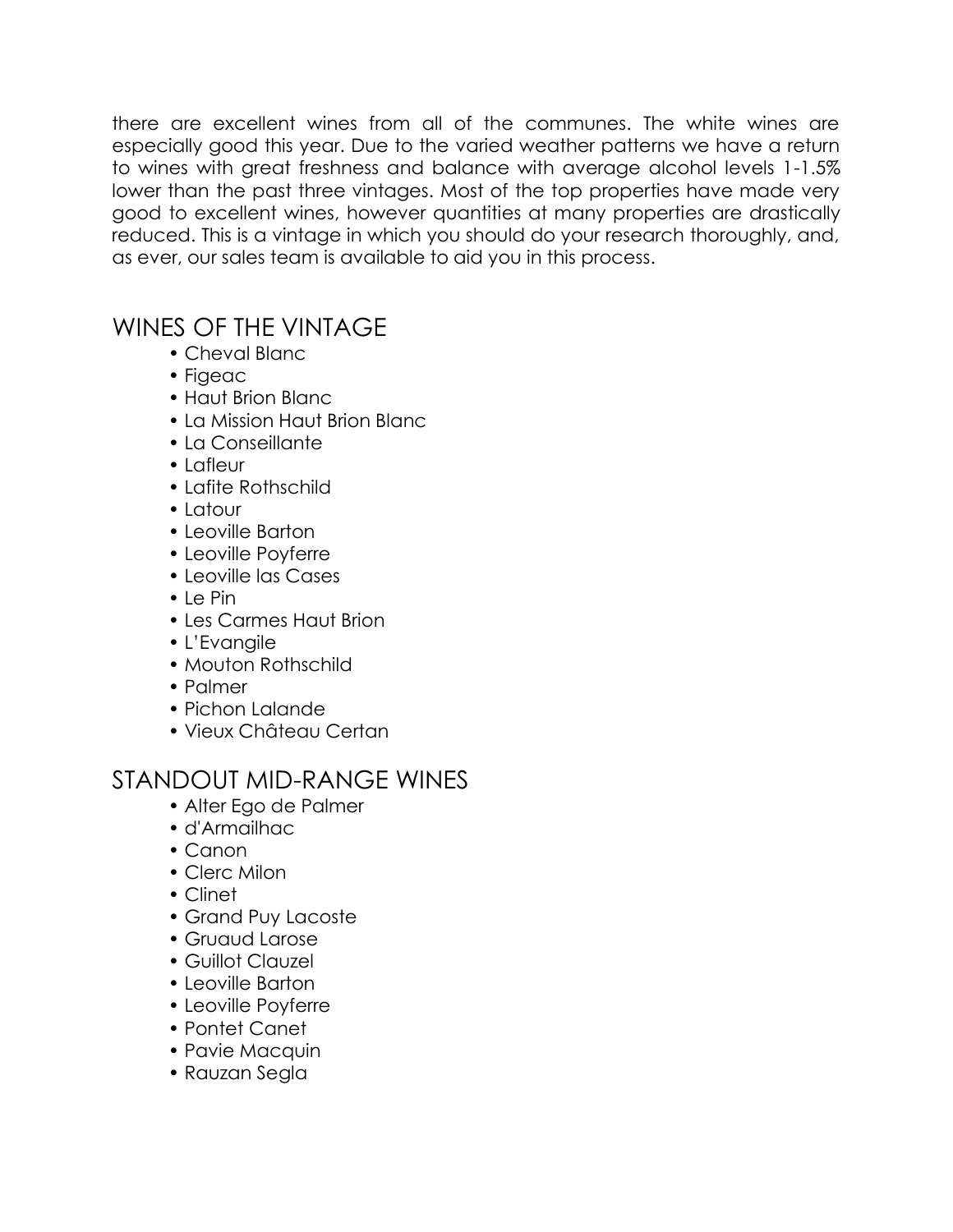there are excellent wines from all of the communes. The white wines are especially good this year. Due to the varied weather patterns we have a return to wines with great freshness and balance with average alcohol levels 1-1.5% lower than the past three vintages. Most of the top properties have made very good to excellent wines, however quantities at many properties are drastically reduced. This is a vintage in which you should do your research thoroughly, and, as ever, our sales team is available to aid you in this process.

## WINES OF THE VINTAGE

- Cheval Blanc
- Figeac
- Haut Brion Blanc
- La Mission Haut Brion Blanc
- La Conseillante
- Lafleur
- Lafite Rothschild
- Latour
- Leoville Barton
- Leoville Poyferre
- Leoville las Cases
- Le Pin
- Les Carmes Haut Brion
- L'Evangile
- Mouton Rothschild
- Palmer
- Pichon Lalande
- Vieux Château Certan

# STANDOUT MID-RANGE WINES

- Alter Ego de Palmer
- d'Armailhac
- Canon
- Clerc Milon
- Clinet
- Grand Puy Lacoste
- Gruaud Larose
- Guillot Clauzel
- Leoville Barton
- Leoville Poyferre
- Pontet Canet
- Pavie Macquin
- Rauzan Segla